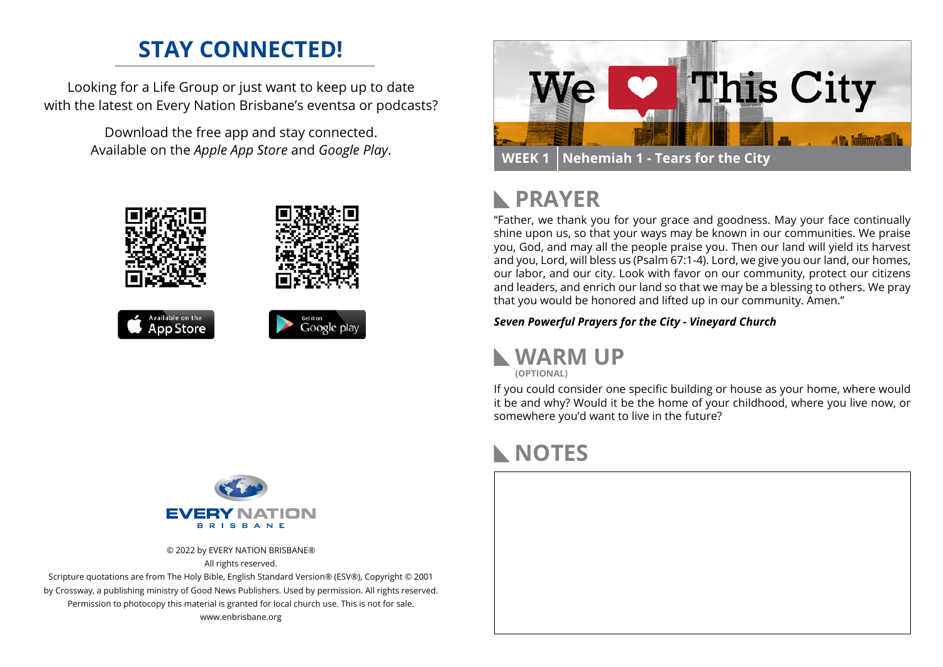### **STAY CONNECTED!**

Looking for a Life Group or just want to keep up to date with the latest on Every Nation Brisbane's eventsa or podcasts?

> Download the free app and stay connected. Available on the *Apple App Store* and *Google Play*.





© 2022 by EVERY NATION BRISBANE® All rights reserved.

Scripture quotations are from The Holy Bible, English Standard Version® (ESV®), Copyright © 2001 by Crossway, a publishing ministry of Good News Publishers. Used by permission. All rights reserved. Permission to photocopy this material is granted for local church use. This is not for sale. www.enbrisbane.org



# **PRAYER**

"Father, we thank you for your grace and goodness. May your face continually shine upon us, so that your ways may be known in our communities. We praise you, God, and may all the people praise you. Then our land will yield its harvest and you, Lord, will bless us (Psalm 67:1-4). Lord, we give you our land, our homes, our labor, and our city. Look with favor on our community, protect our citizens and leaders, and enrich our land so that we may be a blessing to others. We pray that you would be honored and lifted up in our community. Amen."

*Seven Powerful Prayers for the City - Vineyard Church*



If you could consider one specific building or house as your home, where would it be and why? Would it be the home of your childhood, where you live now, or somewhere you'd want to live in the future?

### **NOTES**